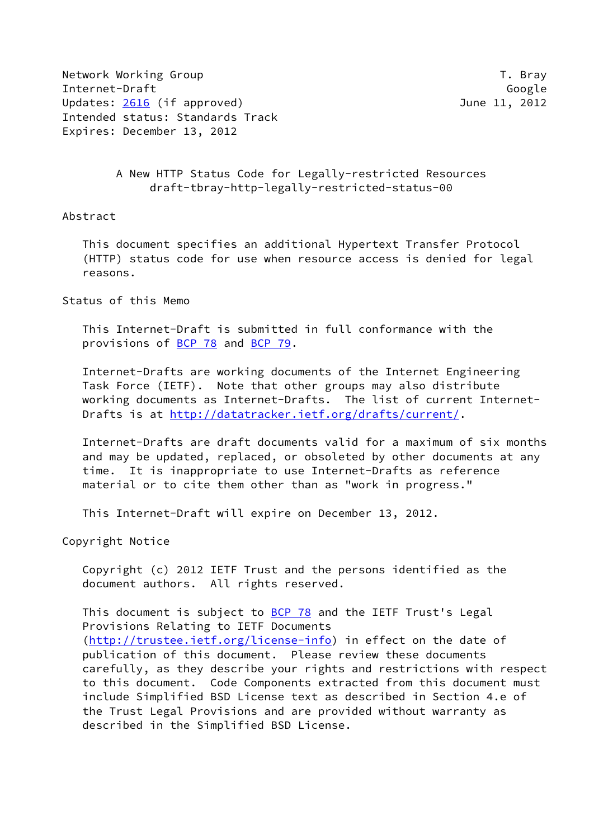Network Working Group T. Bray Internet-Draft Google Updates: [2616](https://datatracker.ietf.org/doc/pdf/rfc2616) (if approved) 3012 Intended status: Standards Track Expires: December 13, 2012

 A New HTTP Status Code for Legally-restricted Resources draft-tbray-http-legally-restricted-status-00

Abstract

 This document specifies an additional Hypertext Transfer Protocol (HTTP) status code for use when resource access is denied for legal reasons.

Status of this Memo

 This Internet-Draft is submitted in full conformance with the provisions of [BCP 78](https://datatracker.ietf.org/doc/pdf/bcp78) and [BCP 79](https://datatracker.ietf.org/doc/pdf/bcp79).

 Internet-Drafts are working documents of the Internet Engineering Task Force (IETF). Note that other groups may also distribute working documents as Internet-Drafts. The list of current Internet Drafts is at<http://datatracker.ietf.org/drafts/current/>.

 Internet-Drafts are draft documents valid for a maximum of six months and may be updated, replaced, or obsoleted by other documents at any time. It is inappropriate to use Internet-Drafts as reference material or to cite them other than as "work in progress."

This Internet-Draft will expire on December 13, 2012.

Copyright Notice

 Copyright (c) 2012 IETF Trust and the persons identified as the document authors. All rights reserved.

This document is subject to **[BCP 78](https://datatracker.ietf.org/doc/pdf/bcp78)** and the IETF Trust's Legal Provisions Relating to IETF Documents [\(http://trustee.ietf.org/license-info](http://trustee.ietf.org/license-info)) in effect on the date of publication of this document. Please review these documents carefully, as they describe your rights and restrictions with respect to this document. Code Components extracted from this document must include Simplified BSD License text as described in Section 4.e of the Trust Legal Provisions and are provided without warranty as described in the Simplified BSD License.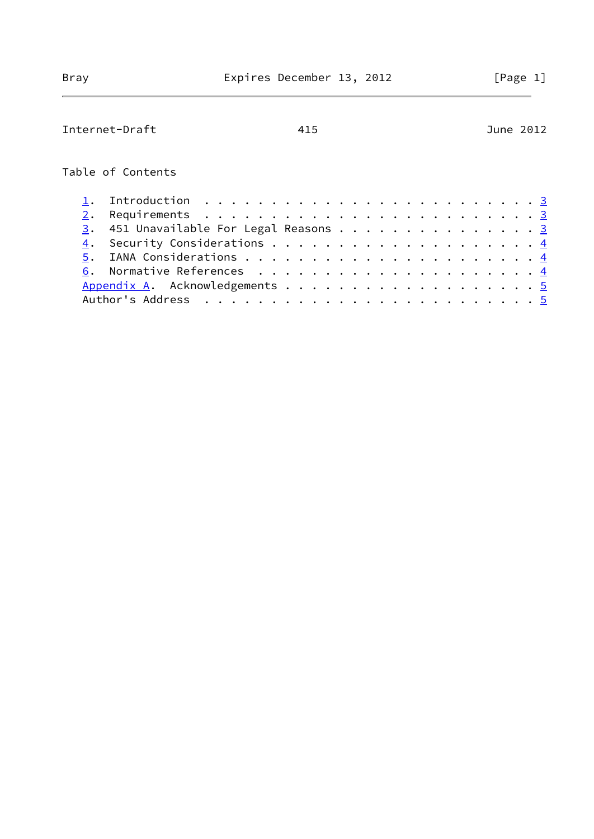| Internet-Draft                                                                            | 415 | June 2012 |
|-------------------------------------------------------------------------------------------|-----|-----------|
| Table of Contents                                                                         |     |           |
| Introduction $\ldots \ldots \ldots \ldots \ldots \ldots \ldots \ldots \ldots \frac{3}{2}$ |     |           |
|                                                                                           |     |           |
| $\frac{3}{2}$ . 451 Unavailable For Legal Reasons 3                                       |     |           |
| 4.                                                                                        |     |           |
|                                                                                           |     |           |
|                                                                                           |     |           |
| Appendix A. Acknowledgements 5                                                            |     |           |
|                                                                                           |     |           |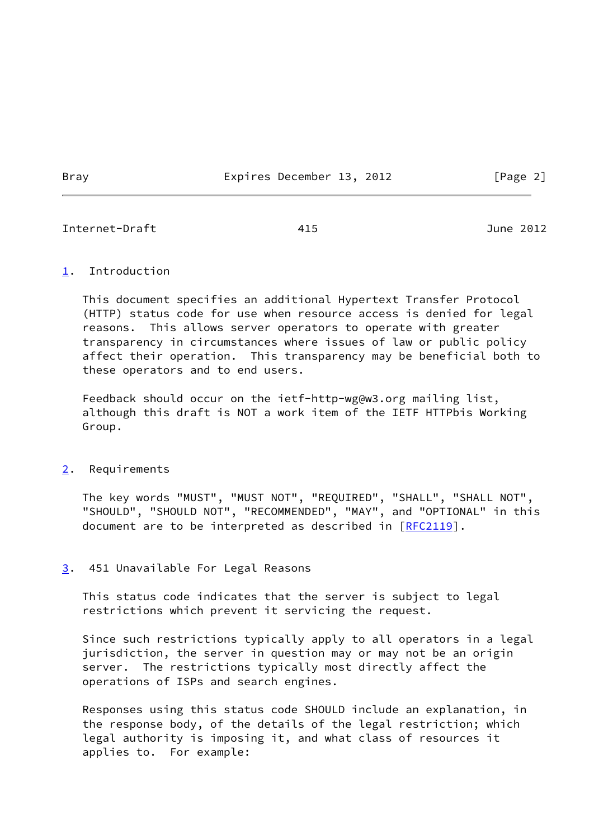Bray **Expires December 13, 2012** [Page 2]

<span id="page-2-1"></span>Internet-Draft 415 June 2012

## <span id="page-2-0"></span>[1](#page-2-0). Introduction

 This document specifies an additional Hypertext Transfer Protocol (HTTP) status code for use when resource access is denied for legal reasons. This allows server operators to operate with greater transparency in circumstances where issues of law or public policy affect their operation. This transparency may be beneficial both to these operators and to end users.

 Feedback should occur on the ietf-http-wg@w3.org mailing list, although this draft is NOT a work item of the IETF HTTPbis Working Group.

## <span id="page-2-2"></span>[2](#page-2-2). Requirements

 The key words "MUST", "MUST NOT", "REQUIRED", "SHALL", "SHALL NOT", "SHOULD", "SHOULD NOT", "RECOMMENDED", "MAY", and "OPTIONAL" in this document are to be interpreted as described in [\[RFC2119](https://datatracker.ietf.org/doc/pdf/rfc2119)].

## <span id="page-2-3"></span>[3](#page-2-3). 451 Unavailable For Legal Reasons

 This status code indicates that the server is subject to legal restrictions which prevent it servicing the request.

 Since such restrictions typically apply to all operators in a legal jurisdiction, the server in question may or may not be an origin server. The restrictions typically most directly affect the operations of ISPs and search engines.

 Responses using this status code SHOULD include an explanation, in the response body, of the details of the legal restriction; which legal authority is imposing it, and what class of resources it applies to. For example: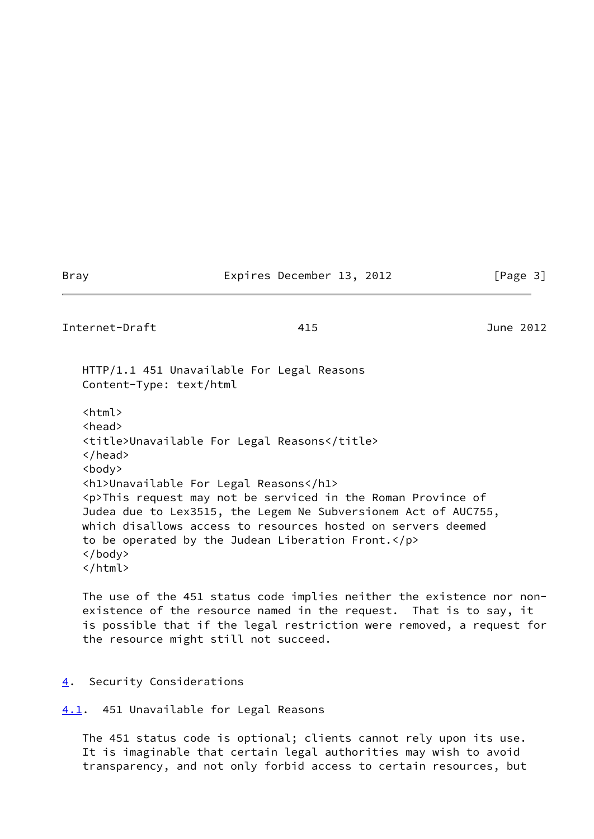## Bray **Expires December 13, 2012** [Page 3]

<span id="page-3-1"></span>Internet-Draft 415 June 2012

 HTTP/1.1 451 Unavailable For Legal Reasons Content-Type: text/html

 <html> <head> <title>Unavailable For Legal Reasons</title> </head> <body> <h1>Unavailable For Legal Reasons</h1> <p>This request may not be serviced in the Roman Province of Judea due to Lex3515, the Legem Ne Subversionem Act of AUC755, which disallows access to resources hosted on servers deemed to be operated by the Judean Liberation Front.</p> </body> </html>

 The use of the 451 status code implies neither the existence nor non existence of the resource named in the request. That is to say, it is possible that if the legal restriction were removed, a request for the resource might still not succeed.

<span id="page-3-0"></span>[4](#page-3-0). Security Considerations

<span id="page-3-2"></span>[4.1](#page-3-2). 451 Unavailable for Legal Reasons

 The 451 status code is optional; clients cannot rely upon its use. It is imaginable that certain legal authorities may wish to avoid transparency, and not only forbid access to certain resources, but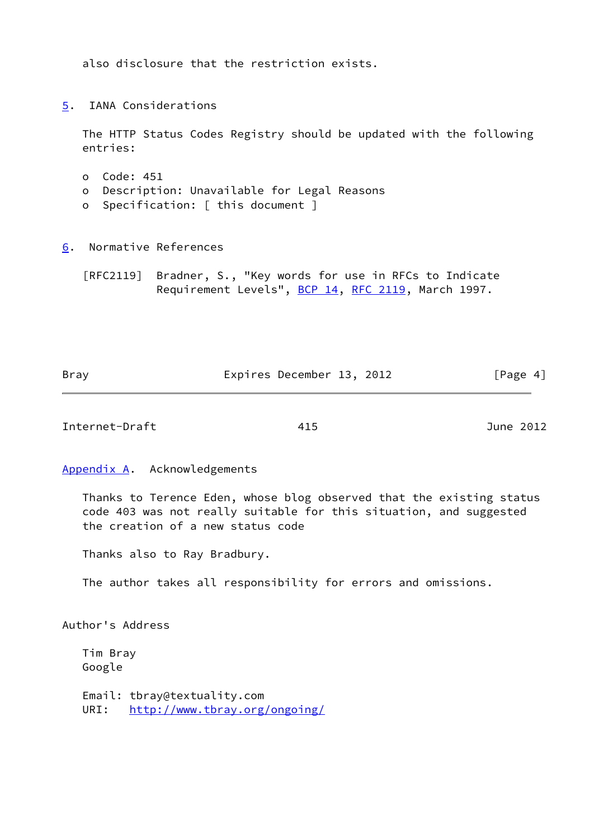also disclosure that the restriction exists.

<span id="page-4-0"></span>[5](#page-4-0). IANA Considerations

 The HTTP Status Codes Registry should be updated with the following entries:

- o Code: 451
- o Description: Unavailable for Legal Reasons
- o Specification: [ this document ]

<span id="page-4-1"></span>[6](#page-4-1). Normative References

 [RFC2119] Bradner, S., "Key words for use in RFCs to Indicate Requirement Levels", [BCP 14](https://datatracker.ietf.org/doc/pdf/bcp14), [RFC 2119](https://datatracker.ietf.org/doc/pdf/rfc2119), March 1997.

| Bray | Expires December 13, 2012 | [Page 4] |
|------|---------------------------|----------|

<span id="page-4-3"></span>Internet-Draft 415 June 2012

<span id="page-4-2"></span>[Appendix A.](#page-4-2) Acknowledgements

 Thanks to Terence Eden, whose blog observed that the existing status code 403 was not really suitable for this situation, and suggested the creation of a new status code

Thanks also to Ray Bradbury.

The author takes all responsibility for errors and omissions.

Author's Address

 Tim Bray Google

 Email: tbray@textuality.com URI: <http://www.tbray.org/ongoing/>